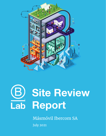



Másmóvil Ibercom SA **July 2021**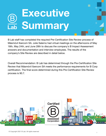# **Executive B**<br>Cab Summary

B Lab staff has completed the required Pre-Certification Site Review process of Másmóvil Ibercom SA. Julie Salerno had virtual meetings on the afternoons of May 18th, May 24th, and June 28th to discuss the company's B Impact Assessment answers and documentation and interview employees. The results of the company's Site Review are described in detail below.

Overall Recommendation: B Lab has determined through the Pre-Certification Site Review that Másmóvil Ibercom SA meets the performance requirements for B Corp certification. The final score determined during this Pre-Certification Site Review process is 90.7.



1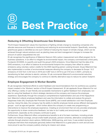# **Best Practice**

#### **Reducing & Offsetting Greenhouse Gas Emissions**

The B Impact Assessment values the importance of fighting climate change by rewarding companies who allocate resources and finances to monitoring and reducing its environmental footprint. Specifically, removing greenhouse gases is identified as one such method of reducing the impact of climate change, which can be achieved through natural solutions such as planting trees and land management changes to increase the amount of carbon sequestered into soil.

B Lab recognizes the significance of Másmóvil Ibercom SA's carbon measurement and offset program for its business operations. In an effort to mitigate its environmental impact, the company commissioned a third party, Fundación ECODES, to quantify and audit the group's GHG emissions. Once Másmóvil had the data of its GHG emissions, in an effort to balance its environmental footprint the company then offset its carbon emissions using voluntary carbon credits for the 2020 reporting period. Looking forward, Grupo Másmóvil has also implemented a number of environmental measures allowing the company to decrease its Scope 1 & 2 emissions of CO2 from 4,442 tons in 2018 and 4,697 tons in 2019 to just 416 tons in 20201, primarily by transitioning its fleet vehicles to electric vehicles. B Lab commends Másmóvil's environmental reduction strategy and encourages the company to continue to identify alternative ways to reduce its carbon footprint.

#### **Employee Engagement & Worker Benefits**

B Lab recognizes intentional efforts to solicit feedback and recommendations from its workforce as a positive impact created in the 'Workers' section of the B Impact Assessment. B Lab applauds Grupo Másmóvil for not only offering a variety of user-friendly and accessible mechanisms to gather feedback from employees, but also for using that feedback to inform strategic decisions at the company and improve the employee experience. Specifically through the company's comprehensive implementation and use of the Happyforce tool, Másmóvil collects employee feedback and uses the information to collate and analyze the group's Happiness Index (HI), Employee Net Promoter Score (eNPS), and overall satisfaction over their Employee Journey. Using this data, the company has the ability to identify employee trends across different demographic groups - such as age and gender - which further allows the company to create new programming or interventions to improve the employee experience. Creating an environment that not only provides employees the opportunity to share constructive feedback, but also to do it safely and anonymously is a great achievement, especially as the company continues to grow.

Furthermore, Grupo Másmóvil offers comprehensive benefits to all of its team members, including private health and medical coverage, annual onsite health physicals, pension schemes, alternative compensative vehicles through phantom stock options, MASUnidos, MASLearning, and more. It was evident during the employee interviews that employees genuinely believe that Másmóvil is a great place to work and are even more proud to see the company publicly sharing its mission and values.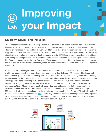# **Improving your Impact**

### **Diversity, Equity, and Inclusion**

The B Impact Assessment values the importance of celebrating diversity and inclusion across the working environment by encouraging business leaders to build and support an inclusive economic system for all. This vision includes not only building a diverse workforce, but also promoting diversity across a company's supply chain and its own executive leadership team and board of directors. Másmóvil Ibercom SA has taken steps toward promoting a shared and durable prosperity for its BIPOC and underrepresented stakeholders, such as implementing mechanisms to promote a more diverse workplace by launching its "Talent Diversity Plan" and setting goals over the next four years. The Company has also added trainings related to diversity and inclusion on its MASLearning platform, which provides access to educational content to the Company's workforce.

A few areas for improving Grupo Másmóvil's social impact would be to increase the diversity of its overall workforce, management, and senior leadership teams, as well as its Board of Directors, which is currently made up entirely of individuals identifying as male. Furthermore, Grupo Másmóvil may consider conducting an assessment of the diversity within its value chain and, where possible, set a goal to develop partnerships with suppliers whose ownership is majority owned by women or individuals from underrepresented populations. By giving preference to suppliers owned by women, minority, or other underrepresented populations, Grupo Másmóvil can proactively support an equitable economy that enables traditionally disadvantaged individuals and businesses to succeed. If interested, B Lab recommends that Grupo Másmóvil utilize the resources already available to the company, such as the Basics of Diversity, Inclusion, & Social Justice in the Workplace found [here,](http://go.pardot.com/l/39792/2018-05-22/8cp3m7). In this way, Másmóvil can take meaningful steps that propel the organization forward in an intentional and thoughtful manner and improve its efforts towards systemically and meaningfully creating an equitable and inclusive economic system.

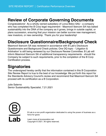### **Review of Corporate Governing Documents**

Congratulations! As a wholly owned subsidiary of Lorca Bidco SAU - a company who has completed the B Corp legal requirement - Masmovil Ibercom SA has baked sustainability into the DNA of the company as it grows, brings in outside capital, or plans succession, ensuring that your mission can better survive new management, new investors, or new ownership. Thank you for your leadership!

### **Disclosure Questionnaire/Background Check**

Masmovil Ibercom SA was reviewed in accordance with B Lab's Disclosure Questionnaire and Background Check policies. One DQ topic - 'Litigation & Arbitration' is still being reviewed by our Disclosure Review Committee. B Lab will inform Masmovil Ibercom SA of additional transparency requirements - should the Company be subject to such requirements, prior to the completion of the B Corp Certification process.

## **Signatories**

The undersigned hereby certify that the information contained in this B Corporation Site Review Report is true to the best of our knowledge. We put forth this report for the Standards Advisory Council's review and recommend that Masmovil Ibercom SA proceed with its certification as a B Corporation.

Julie Salerno Senior Sustainability Specialist, 7.21.2021



B Lab is a non-profit organization dedicated to using the power of business as a force for good.

Learn more at [bcorporation.net.](http://www.bcorporation.net) Copyright © 2021. All rights reserved.